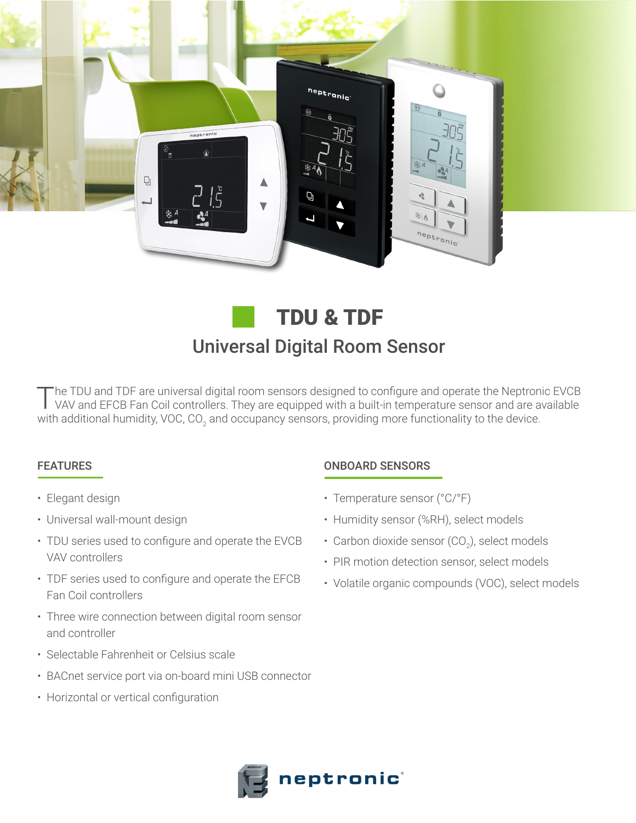

# Universal Digital Room Sensor TDU & TDF

The TDU and TDF are universal digital room sensors designed to configure and operate the Neptronic EVCB VAV and EFCB Fan Coil controllers. They are equipped with a built-in temperature sensor and are available with additional humidity, VOC, CO<sub>2</sub> and occupancy sensors, providing more functionality to the device.

## FEATURES

- Elegant design
- Universal wall-mount design
- TDU series used to configure and operate the EVCB VAV controllers
- TDF series used to configure and operate the EFCB Fan Coil controllers
- Three wire connection between digital room sensor and controller
- Selectable Fahrenheit or Celsius scale
- BACnet service port via on-board mini USB connector
- Horizontal or vertical configuration

# ONBOARD SENSORS

- Temperature sensor (°C/°F)
- Humidity sensor (%RH), select models
- Carbon dioxide sensor (CO<sub>2</sub>), select models
- PIR motion detection sensor, select models
- Volatile organic compounds (VOC), select models